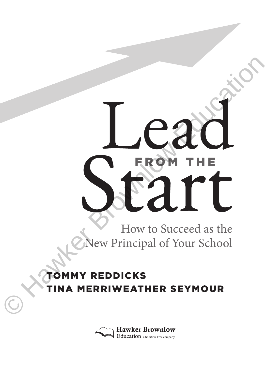# Car Champing Service Contraction

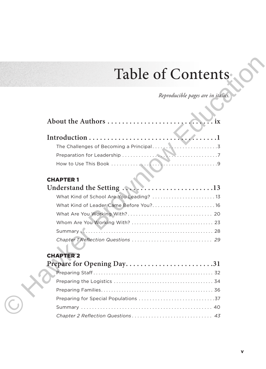# Table of Contents

| Table of Contents                        |
|------------------------------------------|
|                                          |
| Reproducible pages are in italics.       |
|                                          |
| About the Authors<br>.1x                 |
|                                          |
|                                          |
|                                          |
|                                          |
|                                          |
| <b>CHAPTER 1</b>                         |
|                                          |
| What Kind of School Are You Leading?  13 |
| What Kind of Leader Came Before You? 16  |
|                                          |
|                                          |
|                                          |
|                                          |
|                                          |
| <b>CHAPTER 2</b>                         |
| Prepare for Opening Day31                |
|                                          |
|                                          |
|                                          |
|                                          |
|                                          |
|                                          |

### CHAPTER 2

| Prepare for Opening Day31 |  |  |
|---------------------------|--|--|
|                           |  |  |
|                           |  |  |
|                           |  |  |
|                           |  |  |
|                           |  |  |
|                           |  |  |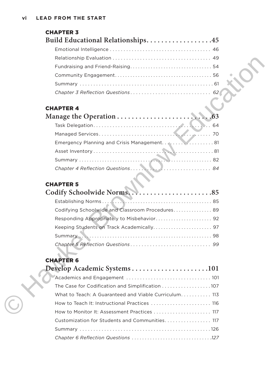| <b>CHAPTER 3</b>                                      |
|-------------------------------------------------------|
| Build Educational Relationships45                     |
|                                                       |
|                                                       |
|                                                       |
|                                                       |
|                                                       |
|                                                       |
| <b>CHAPTER 4</b>                                      |
|                                                       |
|                                                       |
|                                                       |
| Emergency Planning and Crisis Management 81           |
|                                                       |
|                                                       |
| Chapter 4 Reflection Questions 84                     |
|                                                       |
| <b>CHAPTER 5</b>                                      |
|                                                       |
|                                                       |
| Codifying Schoolwide and Classroom Procedures 89      |
|                                                       |
|                                                       |
|                                                       |
|                                                       |
| <b>CHAPTER 6</b>                                      |
| Develop Academic Systems101                           |
|                                                       |
| The Case for Codification and Simplification 107      |
| What to Teach: A Guaranteed and Viable Curriculum 113 |
| How to Teach It: Instructional Practices  116         |
| How to Monitor It: Assessment Practices  117          |

### CHAPTER 5

| Codify Schoolwide Norms85                        |  |
|--------------------------------------------------|--|
|                                                  |  |
| Codifying Schoolwide and Classroom Procedures 89 |  |
|                                                  |  |
|                                                  |  |
|                                                  |  |
|                                                  |  |

# CHAPTER 6

| Develop Academic Systems101                           |
|-------------------------------------------------------|
|                                                       |
|                                                       |
| What to Teach: A Guaranteed and Viable Curriculum 113 |
| How to Teach It: Instructional Practices  116         |
| How to Monitor It: Assessment Practices  117          |
| Customization for Students and Communities 117        |
|                                                       |
|                                                       |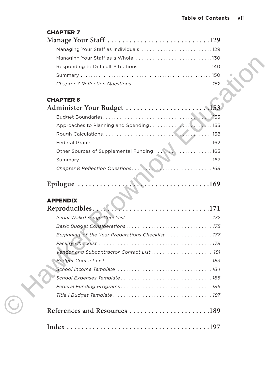### CHAPTER 7

| Manage Your Staff 129 |
|-----------------------|
|                       |
|                       |
|                       |
|                       |
|                       |

### CHAPTER 8

| Other Sources of Supplemental Funding  165 |  |
|--------------------------------------------|--|
|                                            |  |
|                                            |  |
|                                            |  |

### APPENDIX

| Responding to Difficult Situations  140         |  |
|-------------------------------------------------|--|
|                                                 |  |
|                                                 |  |
|                                                 |  |
| <b>CHAPTER 8</b>                                |  |
|                                                 |  |
|                                                 |  |
|                                                 |  |
|                                                 |  |
|                                                 |  |
| Other Sources of Supplemental Funding  165      |  |
|                                                 |  |
|                                                 |  |
| Epilogue $\dots\dots\dots\dots$                 |  |
| <b>APPENDIX</b>                                 |  |
| $Reproducibles \ldots$                          |  |
|                                                 |  |
|                                                 |  |
| Beginning-of-the-Year Preparations Checklist177 |  |
|                                                 |  |
|                                                 |  |
|                                                 |  |
|                                                 |  |
|                                                 |  |
|                                                 |  |
|                                                 |  |
| References and Resources 189                    |  |
|                                                 |  |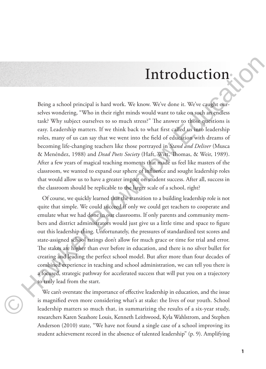# Introduction

Being a school principal is hard work. We know. We've done it. We've caught ourselves wondering, "Who in their right minds would want to take on such an endless task? Why subject ourselves to so much stress?" The answer to those questions is easy. Leadership matters. If we think back to what first called us into leadership roles, many of us can say that we went into the field of education with dreams of becoming life-changing teachers like those portrayed in *Stand and Deliver* (Musca & Menéndez, 1988) and *Dead Poets Society* (Haft, Witt, Thomas, & Weir, 1989). After a few years of magical teaching moments that made us feel like masters of the classroom, we wanted to expand our sphere of influence and sought leadership roles that would allow us to have a greater impact on student success. After all, success in the classroom should be replicable to the larger scale of a school, right?

Of course, we quickly learned that the transition to a building leadership role is not quite that simple. We could succeed if only we could get teachers to cooperate and emulate what we had done in our classrooms. If only parents and community members and district administrators would just give us a little time and space to figure out this leadership thing. Unfortunately, the pressures of standardized test scores and state-assigned school ratings don't allow for much grace or time for trial and error. The stakes are higher than ever before in education, and there is no silver bullet for creating and leading the perfect school model. But after more than four decades of combined experience in teaching and school administration, we can tell you there is a focused, strategic pathway for accelerated success that will put you on a trajectory to truly lead from the start. **Introduction**<br> **Example 16**<br>
Being a school principal is hard work. We know. We've done it. We've saught our<br>
severe wondering. "We in their right minds would strain the income<br>
rate as the state of the state of the stat

We can't overstate the importance of effective leadership in education, and the issue is magnified even more considering what's at stake: the lives of our youth. School leadership matters so much that, in summarizing the results of a six-year study, researchers Karen Seashore Louis, Kenneth Leithwood, Kyla Wahlstrom, and Stephen Anderson (2010) state, "We have not found a single case of a school improving its student achievement record in the absence of talented leadership" (p. 9). Amplifying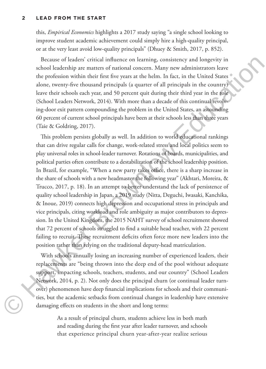### **2 LEAD FROM THE START**

this, *Empirical Economics* highlights a 2017 study saying "a single school looking to improve student academic achievement could simply hire a high-quality principal, or at the very least avoid low-quality principals" (Dhuey & Smith, 2017, p. 852).

Because of leaders' critical influence on learning, consistency and longevity in school leadership are matters of national concern. Many new administrators leave the profession within their first five years at the helm. In fact, in the United States alone, twenty-five thousand principals (a quarter of all principals in the country) leave their schools each year, and 50 percent quit during their third year in the role (School Leaders Network, 2014). With more than a decade of this continual revolving-door exit pattern compounding the problem in the United States, an astounding 60 percent of current school principals have been at their schools less than three years (Taie & Goldring, 2017).

This problem persists globally as well. In addition to world educational rankings that can drive regular calls for change, work-related stress and local politics seem to play universal roles in school-leader turnover. Rotations of boards, municipalities, and political parties often contribute to a destabilization of the school leadership position. In Brazil, for example, "When a new party takes office, there is a sharp increase in the share of schools with a new headmaster the following year" (Akhtari, Moreira, & Trucco, 2017, p. 18). In an attempt to better understand the lack of persistence of quality school leadership in Japan, a 2019 study (Nitta, Deguchi, Iwasaki, Kanchika, & Inoue, 2019) connects high depression and occupational stress in principals and vice principals, citing workload and role ambiguity as major contributors to depression. In the United Kingdom, the 2015 NAHT survey of school recruitment showed that 72 percent of schools struggled to find a suitable head teacher, with 22 percent failing to recruit. These recruitment deficits often force more new leaders into the position rather than relying on the traditional deputy-head matriculation. Because of leaders' critical influence on learning, consistency and longevity in<br>
we denote the profission within their first five years ar the belm. In fact, in the United States<br>
the profission within their first five y

With schools annually losing an increasing number of experienced leaders, their replacements are "being thrown into the deep end of the pool without adequate support, impacting schools, teachers, students, and our country" (School Leaders Network, 2014, p. 2). Not only does the principal churn (or continual leader turnover) phenomenon have deep financial implications for schools and their communities, but the academic setbacks from continual changes in leadership have extensive damaging effects on students in the short and long terms:

> As a result of principal churn, students achieve less in both math and reading during the first year after leader turnover, and schools that experience principal churn year-after-year realize serious